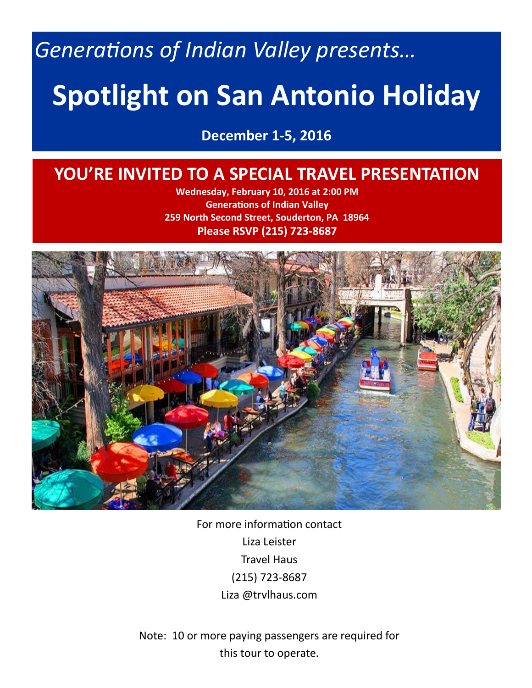*Generations of Indian Valley presents…*

# **Spotlight on San Antonio Holiday**

**December 1-5, 2016**

# **YOU'RE INVITED TO A SPECIAL TRAVEL PRESENTATION**

**Wednesday, February 10, 2016 at 2:00 PM Generations of Indian Valley 259 North Second Street, Souderton, PA 18964 Please RSVP (215) 723-8687**



For more information contact Liza Leister Travel Haus (215) 723-8687 Liza @trvlhaus.com

Note: 10 or more paying passengers are required for this tour to operate.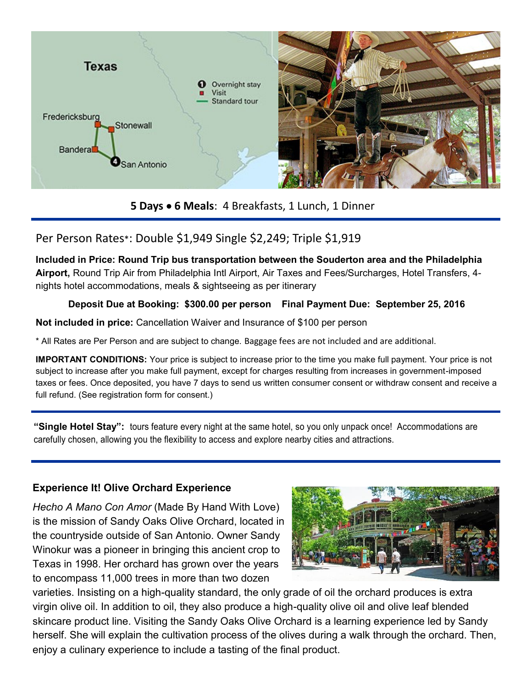

**5 Days 6 Meals**: 4 Breakfasts, 1 Lunch, 1 Dinner

# Per Person Rates\*: Double \$1,949 Single \$2,249; Triple \$1,919

**Included in Price: Round Trip bus transportation between the Souderton area and the Philadelphia Airport,** Round Trip Air from Philadelphia Intl Airport, Air Taxes and Fees/Surcharges, Hotel Transfers, 4 nights hotel accommodations, meals & sightseeing as per itinerary

#### **Deposit Due at Booking: \$300.00 per person Final Payment Due: September 25, 2016**

**Not included in price:** Cancellation Waiver and Insurance of \$100 per person

\* All Rates are Per Person and are subject to change. Baggage fees are not included and are additional.

**IMPORTANT CONDITIONS:** Your price is subject to increase prior to the time you make full payment. Your price is not subject to increase after you make full payment, except for charges resulting from increases in government-imposed taxes or fees. Once deposited, you have 7 days to send us written consumer consent or withdraw consent and receive a full refund. (See registration form for consent.)

**"Single Hotel Stay":** tours feature every night at the same hotel, so you only unpack once! Accommodations are carefully chosen, allowing you the flexibility to access and explore nearby cities and attractions.

## **Experience It! Olive Orchard Experience**

*Hecho A Mano Con Amor* (Made By Hand With Love) is the mission of Sandy Oaks Olive Orchard, located in the countryside outside of San Antonio. Owner Sandy Winokur was a pioneer in bringing this ancient crop to Texas in 1998. Her orchard has grown over the years to encompass 11,000 trees in more than two dozen



varieties. Insisting on a high-quality standard, the only grade of oil the orchard produces is extra virgin olive oil. In addition to oil, they also produce a high-quality olive oil and olive leaf blended skincare product line. Visiting the Sandy Oaks Olive Orchard is a learning experience led by Sandy herself. She will explain the cultivation process of the olives during a walk through the orchard. Then, enjoy a culinary experience to include a tasting of the final product.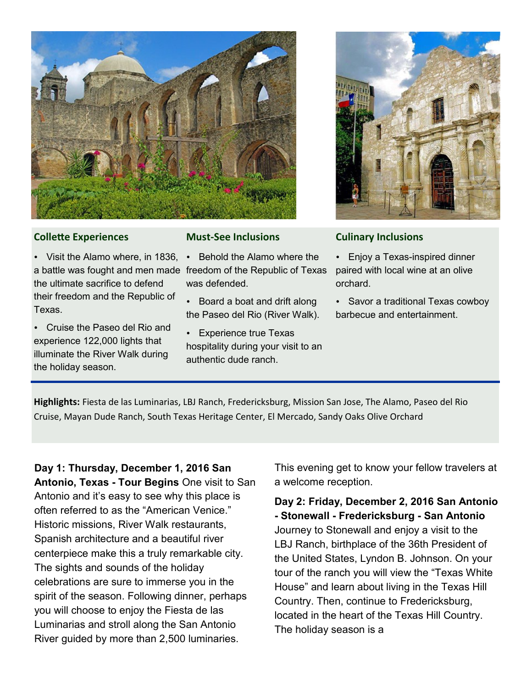



#### **Collette Experiences**

• Visit the Alamo where, in 1836, • Behold the Alamo where the a battle was fought and men made freedom of the Republic of Texas the ultimate sacrifice to defend their freedom and the Republic of Texas.

 Cruise the Paseo del Rio and experience 122,000 lights that illuminate the River Walk during the holiday season.

#### **Must-See Inclusions**

was defended.

• Board a boat and drift along the Paseo del Rio (River Walk).

 Experience true Texas hospitality during your visit to an authentic dude ranch.

#### **Culinary Inclusions**

 Enjoy a Texas-inspired dinner paired with local wine at an olive orchard.

 Savor a traditional Texas cowboy barbecue and entertainment.

**Highlights:** Fiesta de las Luminarias, LBJ Ranch, Fredericksburg, Mission San Jose, The Alamo, Paseo del Rio Cruise, Mayan Dude Ranch, South Texas Heritage Center, El Mercado, Sandy Oaks Olive Orchard

**Day 1: Thursday, December 1, 2016 San Antonio, Texas - Tour Begins** One visit to San Antonio and it's easy to see why this place is often referred to as the "American Venice." Historic missions, River Walk restaurants, Spanish architecture and a beautiful river centerpiece make this a truly remarkable city. The sights and sounds of the holiday celebrations are sure to immerse you in the spirit of the season. Following dinner, perhaps you will choose to enjoy the Fiesta de las Luminarias and stroll along the San Antonio River guided by more than 2,500 luminaries.

This evening get to know your fellow travelers at a welcome reception.

**Day 2: Friday, December 2, 2016 San Antonio - Stonewall - Fredericksburg - San Antonio**  Journey to Stonewall and enjoy a visit to the LBJ Ranch, birthplace of the 36th President of the United States, Lyndon B. Johnson. On your tour of the ranch you will view the "Texas White House" and learn about living in the Texas Hill Country. Then, continue to Fredericksburg, located in the heart of the Texas Hill Country. The holiday season is a